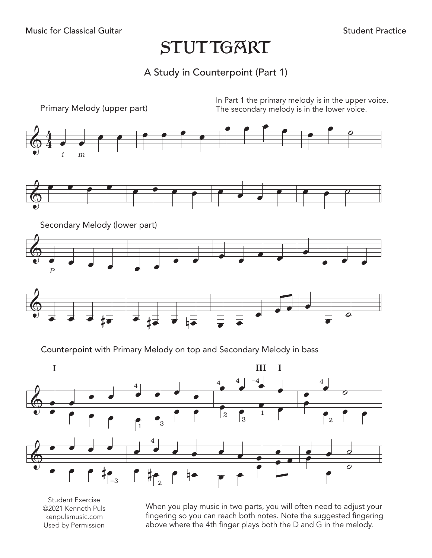## **STUTTGART**

)<br>A Study in Counterpoint (Part 1)



 $\overline{\mathsf{P}}$   $\overline{\mathsf{E}}$   $\overline{\mathsf{P}}$   $\overline{\mathsf{P}}$ 

 $-3$   $|$   $|$   $|$  2

kenpulsmusic.com<br>Used by Permission esion.<br>... & œ œ œ œ Student Exercise ©2021 Kenneth Puls kenpulsmusic.com Used by Permission

 $\overline{e}$   $\overline{e}$   $\overline{e}$   $\overline{e}$   $\overline{e}$ 

abo g so yo<br>*i*here th above where th<br> . ... .wo<br>reach b<br>finger <sub>l</sub> When you play music in two parts, you will often need to adjust your<br>fingering so you can reach both notes. Note the suggested fingering<br>above where the 4th finger plays both the D and G in the melody. reach both notes. Note the suggested fing<br>finger plays both the D and G in the meloc<br> above where the 4th finger plays both the D and G in the melody.<br>
Show where the 4th finger plays both the D and G in the melody. When you play music in two parts, you will often need to adjust your

 $\frac{1}{\epsilon}$   $\frac{1}{\epsilon}$ 

œ

œ

 $\overline{\rho}$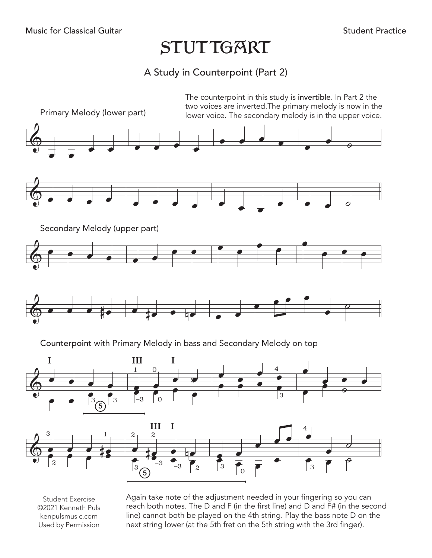## **STUTTGART** Music for Classical Guitar<br>STI ITTGAR

## A Study in Counterpoint (Part 2)



Student Exercise ©2021 Kenneth Puls kenpulsmusic.com Used by Permission

Again take note of the adjustment needed in your fingering so you can reach both notes. The D and F (in the first line) and D and F# (in the second line) cannot both be played on the 4th string. Play the bass note D on the next string lower (at the 5th fret on the 5th string with the 3rd finger).